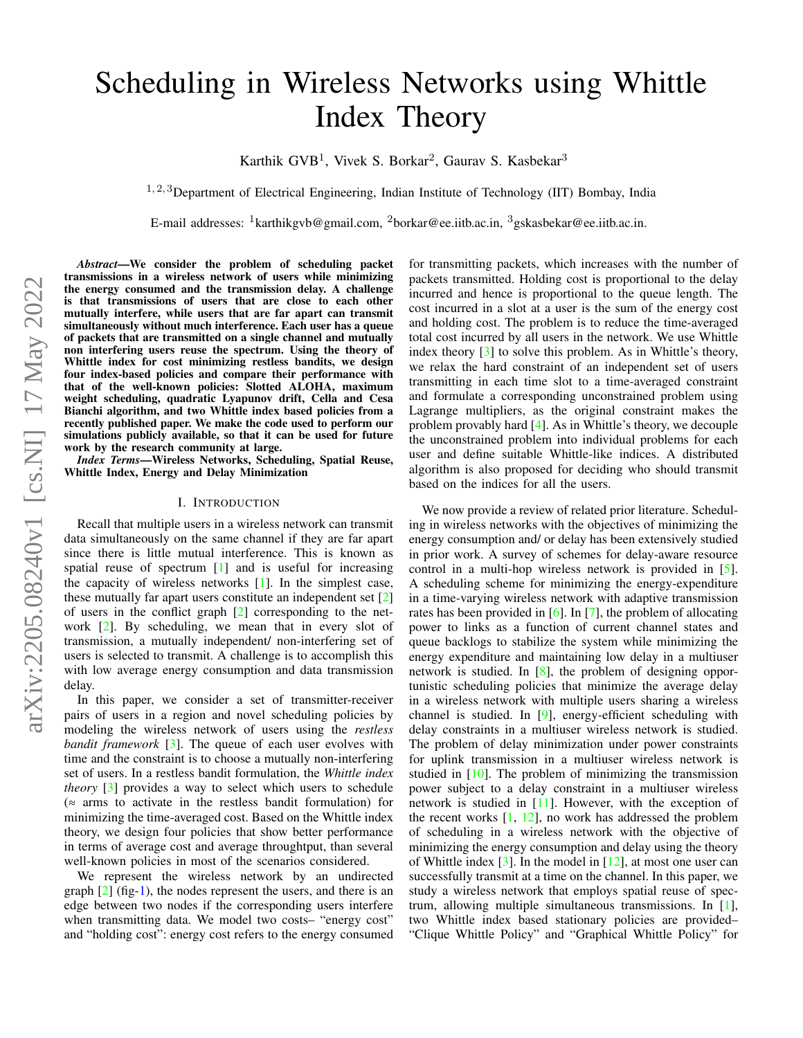# Scheduling in Wireless Networks using Whittle Index Theory

Karthik GVB<sup>1</sup>, Vivek S. Borkar<sup>2</sup>, Gaurav S. Kasbekar<sup>3</sup>

 $1, 2, 3$ Department of Electrical Engineering, Indian Institute of Technology (IIT) Bombay, India

E-mail addresses:  $\frac{1}{1}$ karthikgvb@gmail.com,  $\frac{2}{1}$ borkar@ee.iitb.ac.in,  $\frac{3}{1}$ gskasbekar@ee.iitb.ac.in.

*Abstract*—We consider the problem of scheduling packet transmissions in a wireless network of users while minimizing the energy consumed and the transmission delay. A challenge is that transmissions of users that are close to each other mutually interfere, while users that are far apart can transmit simultaneously without much interference. Each user has a queue of packets that are transmitted on a single channel and mutually non interfering users reuse the spectrum. Using the theory of Whittle index for cost minimizing restless bandits, we design four index-based policies and compare their performance with that of the well-known policies: Slotted ALOHA, maximum weight scheduling, quadratic Lyapunov drift, Cella and Cesa Bianchi algorithm, and two Whittle index based policies from a recently published paper. We make the code used to perform our simulations publicly available, so that it can be used for future work by the research community at large.

*Index Terms*—Wireless Networks, Scheduling, Spatial Reuse, Whittle Index, Energy and Delay Minimization

## I. INTRODUCTION

Recall that multiple users in a wireless network can transmit data simultaneously on the same channel if they are far apart since there is little mutual interference. This is known as spatial reuse of spectrum [\[1\]](#page-4-0) and is useful for increasing the capacity of wireless networks [\[1\]](#page-4-0). In the simplest case, these mutually far apart users constitute an independent set [\[2\]](#page-4-1) of users in the conflict graph [\[2\]](#page-4-1) corresponding to the network [\[2\]](#page-4-1). By scheduling, we mean that in every slot of transmission, a mutually independent/ non-interfering set of users is selected to transmit. A challenge is to accomplish this with low average energy consumption and data transmission delay.

In this paper, we consider a set of transmitter-receiver pairs of users in a region and novel scheduling policies by modeling the wireless network of users using the *restless bandit framework* [\[3\]](#page-4-2). The queue of each user evolves with time and the constraint is to choose a mutually non-interfering set of users. In a restless bandit formulation, the *Whittle index theory* [\[3\]](#page-4-2) provides a way to select which users to schedule  $($  ≈ arms to activate in the restless bandit formulation) for minimizing the time-averaged cost. Based on the Whittle index theory, we design four policies that show better performance in terms of average cost and average throughtput, than several well-known policies in most of the scenarios considered.

We represent the wireless network by an undirected graph  $[2]$  (fig[-1\)](#page-1-0), the nodes represent the users, and there is an edge between two nodes if the corresponding users interfere when transmitting data. We model two costs– "energy cost" and "holding cost": energy cost refers to the energy consumed for transmitting packets, which increases with the number of packets transmitted. Holding cost is proportional to the delay incurred and hence is proportional to the queue length. The cost incurred in a slot at a user is the sum of the energy cost and holding cost. The problem is to reduce the time-averaged total cost incurred by all users in the network. We use Whittle index theory [\[3\]](#page-4-2) to solve this problem. As in Whittle's theory, we relax the hard constraint of an independent set of users transmitting in each time slot to a time-averaged constraint and formulate a corresponding unconstrained problem using Lagrange multipliers, as the original constraint makes the problem provably hard [\[4\]](#page-4-3). As in Whittle's theory, we decouple the unconstrained problem into individual problems for each user and define suitable Whittle-like indices. A distributed algorithm is also proposed for deciding who should transmit based on the indices for all the users.

We now provide a review of related prior literature. Scheduling in wireless networks with the objectives of minimizing the energy consumption and/ or delay has been extensively studied in prior work. A survey of schemes for delay-aware resource control in a multi-hop wireless network is provided in [\[5\]](#page-4-4). A scheduling scheme for minimizing the energy-expenditure in a time-varying wireless network with adaptive transmission rates has been provided in [\[6\]](#page-4-5). In [\[7\]](#page-4-6), the problem of allocating power to links as a function of current channel states and queue backlogs to stabilize the system while minimizing the energy expenditure and maintaining low delay in a multiuser network is studied. In [\[8\]](#page-4-7), the problem of designing opportunistic scheduling policies that minimize the average delay in a wireless network with multiple users sharing a wireless channel is studied. In [\[9\]](#page-4-8), energy-efficient scheduling with delay constraints in a multiuser wireless network is studied. The problem of delay minimization under power constraints for uplink transmission in a multiuser wireless network is studied in [\[10\]](#page-4-9). The problem of minimizing the transmission power subject to a delay constraint in a multiuser wireless network is studied in [\[11\]](#page-4-10). However, with the exception of the recent works  $[1, 12]$  $[1, 12]$  $[1, 12]$ , no work has addressed the problem of scheduling in a wireless network with the objective of minimizing the energy consumption and delay using the theory of Whittle index [\[3\]](#page-4-2). In the model in [\[12\]](#page-4-11), at most one user can successfully transmit at a time on the channel. In this paper, we study a wireless network that employs spatial reuse of spectrum, allowing multiple simultaneous transmissions. In [\[1\]](#page-4-0), two Whittle index based stationary policies are provided– "Clique Whittle Policy" and "Graphical Whittle Policy" for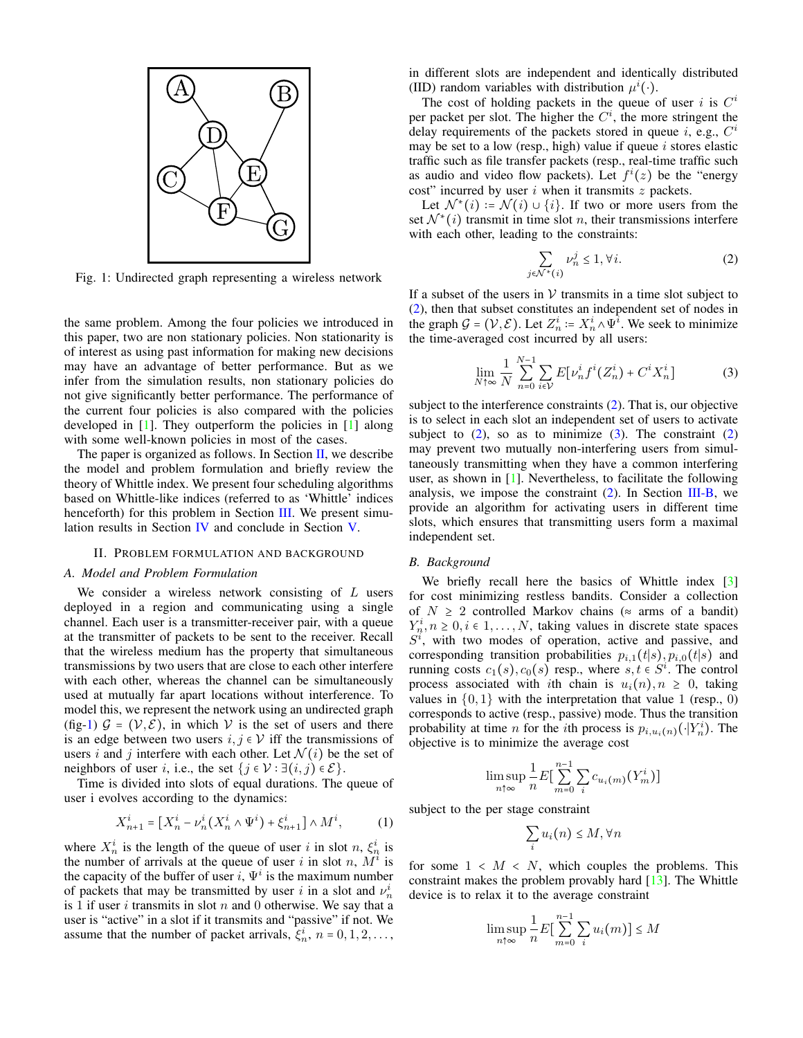<span id="page-1-0"></span>

Fig. 1: Undirected graph representing a wireless network

the same problem. Among the four policies we introduced in this paper, two are non stationary policies. Non stationarity is of interest as using past information for making new decisions may have an advantage of better performance. But as we infer from the simulation results, non stationary policies do not give significantly better performance. The performance of the current four policies is also compared with the policies developed in [\[1\]](#page-4-0). They outperform the policies in [\[1\]](#page-4-0) along with some well-known policies in most of the cases.

The paper is organized as follows. In Section  $II$ , we describe the model and problem formulation and briefly review the theory of Whittle index. We present four scheduling algorithms based on Whittle-like indices (referred to as 'Whittle' indices henceforth) for this problem in Section [III.](#page-2-0) We present simulation results in Section [IV](#page-3-0) and conclude in Section [V.](#page-4-12)

### II. PROBLEM FORMULATION AND BACKGROUND

#### <span id="page-1-4"></span><span id="page-1-1"></span>*A. Model and Problem Formulation*

We consider a wireless network consisting of  $L$  users deployed in a region and communicating using a single channel. Each user is a transmitter-receiver pair, with a queue at the transmitter of packets to be sent to the receiver. Recall that the wireless medium has the property that simultaneous transmissions by two users that are close to each other interfere with each other, whereas the channel can be simultaneously used at mutually far apart locations without interference. To model this, we represent the network using an undirected graph (fig[-1\)](#page-1-0)  $G = (V, E)$ , in which V is the set of users and there is an edge between two users  $i, j \in V$  iff the transmissions of users i and j interfere with each other. Let  $\mathcal{N}(i)$  be the set of neighbors of user *i*, i.e., the set  $\{j \in \mathcal{V} : \exists (i, j) \in \mathcal{E}\}.$ 

Time is divided into slots of equal durations. The queue of user i evolves according to the dynamics:

$$
X_{n+1}^i = [X_n^i - \nu_n^i(X_n^i \wedge \Psi^i) + \xi_{n+1}^i] \wedge M^i,
$$
 (1)

where  $X_n^i$  is the length of the queue of user i in slot n,  $\xi_n^i$  is the number of arrivals at the queue of user i in slot n,  $\overrightarrow{M}$  is the capacity of the buffer of user i,  $\Psi^i$  is the maximum number of packets that may be transmitted by user i in a slot and  $\nu_n^i$ is 1 if user  $i$  transmits in slot  $n$  and 0 otherwise. We say that a user is "active" in a slot if it transmits and "passive" if not. We assume that the number of packet arrivals,  $\xi_n^i$ ,  $n = 0, 1, 2, \ldots$ , in different slots are independent and identically distributed (IID) random variables with distribution  $\mu^{i}(\cdot)$ .

The cost of holding packets in the queue of user i is  $C^i$ per packet per slot. The higher the  $C<sup>i</sup>$ , the more stringent the delay requirements of the packets stored in queue i, e.g.,  $C^i$ may be set to a low (resp., high) value if queue  $i$  stores elastic traffic such as file transfer packets (resp., real-time traffic such as audio and video flow packets). Let  $f^{i}(z)$  be the "energy cost" incurred by user  $i$  when it transmits  $z$  packets.

Let  $\mathcal{N}^*(i) := \mathcal{N}(i) \cup \{i\}$ . If two or more users from the set  $\mathcal{N}^*(i)$  transmit in time slot *n*, their transmissions interfere with each other, leading to the constraints:

<span id="page-1-2"></span>
$$
\sum_{j \in \mathcal{N}^*(i)} \nu_n^j \le 1, \forall i. \tag{2}
$$

If a subset of the users in  $V$  transmits in a time slot subject to [\(2\)](#page-1-2), then that subset constitutes an independent set of nodes in the graph  $G = (\mathcal{V}, \mathcal{E})$ . Let  $Z_n^i := X_n^i \wedge \Psi_i^i$ . We seek to minimize the time-averaged cost incurred by all users:

<span id="page-1-3"></span>
$$
\lim_{N \uparrow \infty} \frac{1}{N} \sum_{n=0}^{N-1} \sum_{i \in \mathcal{V}} E[\nu_n^i f^i(Z_n^i) + C^i X_n^i]
$$
(3)

subject to the interference constraints [\(2\)](#page-1-2). That is, our objective is to select in each slot an independent set of users to activate subject to  $(2)$ , so as to minimize  $(3)$ . The constraint  $(2)$ may prevent two mutually non-interfering users from simultaneously transmitting when they have a common interfering user, as shown in [\[1\]](#page-4-0). Nevertheless, to facilitate the following analysis, we impose the constraint  $(2)$ . In Section [III-B,](#page-2-1) we provide an algorithm for activating users in different time slots, which ensures that transmitting users form a maximal independent set.

#### *B. Background*

We briefly recall here the basics of Whittle index [\[3\]](#page-4-2) for cost minimizing restless bandits. Consider a collection of  $N \geq 2$  controlled Markov chains ( $\approx$  arms of a bandit)  $Y_n^i, n \geq 0, i \in 1, \ldots, N$ , taking values in discrete state spaces  $S<sup>i</sup>$ , with two modes of operation, active and passive, and corresponding transition probabilities  $p_{i,1}(t|s)$ ,  $p_{i,0}(t|s)$  and running costs  $c_1(s)$ ,  $c_0(s)$  resp., where  $s, t \in S^i$ . The control process associated with ith chain is  $u_i(n)$ ,  $n \geq 0$ , taking values in  $\{0, 1\}$  with the interpretation that value 1 (resp., 0) corresponds to active (resp., passive) mode. Thus the transition probability at time *n* for the *i*th process is  $p_{i,u_i(n)}(\cdot|Y_n^i)$ . The objective is to minimize the average cost

$$
\limsup_{n \uparrow \infty} \frac{1}{n} E \left[ \sum_{m=0}^{n-1} \sum_{i} c_{u_i(m)} (Y_m^i) \right]
$$

subject to the per stage constraint

$$
\sum_i u_i(n) \le M, \forall n
$$

for some  $1 \lt M \lt N$ , which couples the problems. This constraint makes the problem provably hard [\[13\]](#page-4-13). The Whittle device is to relax it to the average constraint

$$
\limsup_{n \uparrow \infty} \frac{1}{n} E \Big[ \sum_{m=0}^{n-1} \sum_{i} u_i(m) \Big] \le M
$$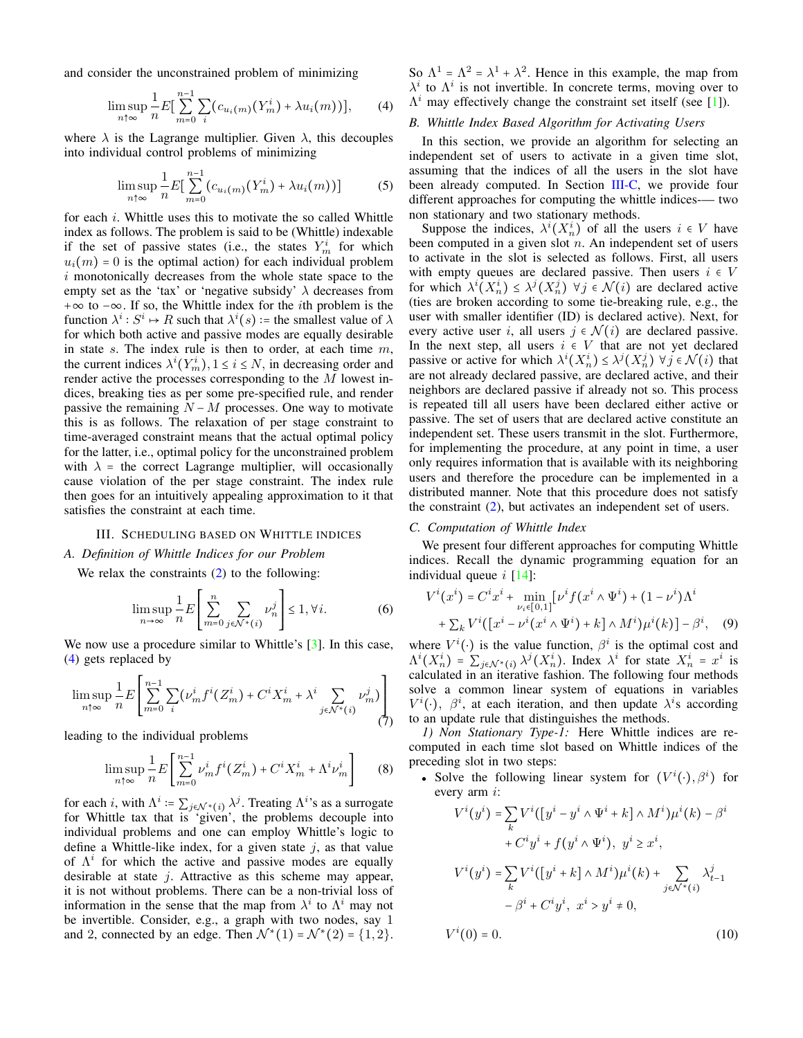and consider the unconstrained problem of minimizing

<span id="page-2-2"></span>
$$
\limsup_{n \uparrow \infty} \frac{1}{n} E\left[\sum_{m=0}^{n-1} \sum_{i} (c_{u_i(m)}(Y_m^i) + \lambda u_i(m))\right],\qquad(4)
$$

where  $\lambda$  is the Lagrange multiplier. Given  $\lambda$ , this decouples into individual control problems of minimizing

$$
\limsup_{n \uparrow \infty} \frac{1}{n} E\left[\sum_{m=0}^{n-1} \left(c_{u_i(m)}(Y_m^i) + \lambda u_i(m)\right)\right] \tag{5}
$$

for each i. Whittle uses this to motivate the so called Whittle index as follows. The problem is said to be (Whittle) indexable if the set of passive states (i.e., the states  $Y_m^i$  for which  $u_i(m) = 0$  is the optimal action) for each individual problem i monotonically decreases from the whole state space to the empty set as the 'tax' or 'negative subsidy'  $\lambda$  decreases from +∞ to −∞. If so, the Whittle index for the ith problem is the function  $\lambda^i : S^i \mapsto R$  such that  $\lambda^i(s)$  := the smallest value of  $\lambda$ for which both active and passive modes are equally desirable in state  $s$ . The index rule is then to order, at each time  $m$ , the current indices  $\lambda^{i}(Y_{m}^{i}), 1 \leq i \leq N$ , in decreasing order and render active the processes corresponding to the M lowest indices, breaking ties as per some pre-specified rule, and render passive the remaining  $N - M$  processes. One way to motivate this is as follows. The relaxation of per stage constraint to time-averaged constraint means that the actual optimal policy for the latter, i.e., optimal policy for the unconstrained problem with  $\lambda$  = the correct Lagrange multiplier, will occasionally cause violation of the per stage constraint. The index rule then goes for an intuitively appealing approximation to it that satisfies the constraint at each time.

#### III. SCHEDULING BASED ON WHITTLE INDICES

## <span id="page-2-0"></span>*A. Definition of Whittle Indices for our Problem*

We relax the constraints [\(2\)](#page-1-2) to the following:

$$
\limsup_{n \to \infty} \frac{1}{n} E\left[\sum_{m=0}^{n} \sum_{j \in \mathcal{N}^*(i)} \nu_n^j\right] \le 1, \forall i.
$$
 (6)

We now use a procedure similar to Whittle's [\[3\]](#page-4-2). In this case, [\(4\)](#page-2-2) gets replaced by

$$
\limsup_{n \uparrow \infty} \frac{1}{n} E\left[ \sum_{m=0}^{n-1} \sum_{i} (\nu_m^i f^i(Z_m^i) + C^i X_m^i + \lambda^i \sum_{j \in \mathcal{N}^*(i)} \nu_m^j) \right] \tag{7}
$$

leading to the individual problems

$$
\limsup_{n \uparrow \infty} \frac{1}{n} E \left[ \sum_{m=0}^{n-1} \nu_m^i f^i(Z_m^i) + C^i X_m^i + \Lambda^i \nu_m^i \right] \tag{8}
$$

for each *i*, with  $\Lambda^i := \sum_{j \in \mathcal{N}^*(i)} \lambda^j$ . Treating  $\Lambda^i$ 's as a surrogate for Whittle tax that is 'given', the problems decouple into individual problems and one can employ Whittle's logic to define a Whittle-like index, for a given state  $i$ , as that value of  $\Lambda^i$  for which the active and passive modes are equally desirable at state  $j$ . Attractive as this scheme may appear, it is not without problems. There can be a non-trivial loss of information in the sense that the map from  $\lambda^i$  to  $\Lambda^i$  may not be invertible. Consider, e.g., a graph with two nodes, say 1 and 2, connected by an edge. Then  $\mathcal{N}^*(1) = \mathcal{N}^*(2) = \{1, 2\}.$  So  $\Lambda^1 = \Lambda^2 = \lambda^1 + \lambda^2$ . Hence in this example, the map from  $\lambda^i$  to  $\Lambda^i$  is not invertible. In concrete terms, moving over to  $\Lambda^i$  may effectively change the constraint set itself (see [\[1\]](#page-4-0)).

#### <span id="page-2-1"></span>*B. Whittle Index Based Algorithm for Activating Users*

In this section, we provide an algorithm for selecting an independent set of users to activate in a given time slot, assuming that the indices of all the users in the slot have been already computed. In Section [III-C,](#page-2-3) we provide four different approaches for computing the whittle indices-— two non stationary and two stationary methods.

Suppose the indices,  $\lambda^{i}(X_{n}^{i})$  of all the users  $i \in V$  have been computed in a given slot  $n$ . An independent set of users to activate in the slot is selected as follows. First, all users with empty queues are declared passive. Then users  $i \in V$ for which  $\lambda^{i}(X_{n}^{i}) \leq \lambda^{j}(X_{n}^{j})$   $\forall j \in \mathcal{N}(i)$  are declared active (ties are broken according to some tie-breaking rule, e.g., the user with smaller identifier (ID) is declared active). Next, for every active user i, all users  $j \in \mathcal{N}(i)$  are declared passive. In the next step, all users  $i \in V$  that are not yet declared passive or active for which  $\lambda^{i}(X_{n}^{i}) \leq \lambda^{j}(X_{n}^{j}) \ \forall j \in \mathcal{N}(i)$  that are not already declared passive, are declared active, and their neighbors are declared passive if already not so. This process is repeated till all users have been declared either active or passive. The set of users that are declared active constitute an independent set. These users transmit in the slot. Furthermore, for implementing the procedure, at any point in time, a user only requires information that is available with its neighboring users and therefore the procedure can be implemented in a distributed manner. Note that this procedure does not satisfy the constraint [\(2\)](#page-1-2), but activates an independent set of users.

## <span id="page-2-3"></span>*C. Computation of Whittle Index*

We present four different approaches for computing Whittle indices. Recall the dynamic programming equation for an individual queue  $i \left[14\right]$ :

$$
V^{i}(x^{i}) = C^{i}x^{i} + \min_{\nu_{i} \in [0,1]} [\nu^{i} f(x^{i} \wedge \Psi^{i}) + (1 - \nu^{i})\Lambda^{i} + \sum_{k} V^{i} ([x^{i} - \nu^{i}(x^{i} \wedge \Psi^{i}) + k] \wedge M^{i})\mu^{i}(k)] - \beta^{i}, \quad (9)
$$

where  $V^{i}(\cdot)$  is the value function,  $\beta^{i}$  is the optimal cost and  $\Lambda^{i}(X_{n}^{i}) = \sum_{j \in \mathcal{N}^{*}(i)} \lambda^{j}(X_{n}^{i})$ . Index  $\lambda^{i}$  for state  $X_{n}^{i} = x^{i}$  is calculated in an iterative fashion. The following four methods solve a common linear system of equations in variables  $V^{i}(\cdot)$ ,  $\beta^{i}$ , at each iteration, and then update  $\lambda^{i}$ s according to an update rule that distinguishes the methods.

*1) Non Stationary Type-1:* Here Whittle indices are recomputed in each time slot based on Whittle indices of the preceding slot in two steps:

• Solve the following linear system for  $(V^{i}(\cdot), \beta^{i})$  for every arm i:

<span id="page-2-4"></span>
$$
V^i(y^i) = \sum_k V^i([y^i - y^i \wedge \Psi^i + k] \wedge M^i)\mu^i(k) - \beta^i
$$
  
+  $C^i y^i + f(y^i \wedge \Psi^i), y^i \ge x^i,$   

$$
V^i(y^i) = \sum_k V^i([y^i + k] \wedge M^i)\mu^i(k) + \sum_{j \in \mathcal{N}^*(i)} \lambda_{t-1}^j
$$
  
-  $\beta^i + C^i y^i, x^i > y^i \ne 0,$   

$$
V^i(0) = 0.
$$
 (10)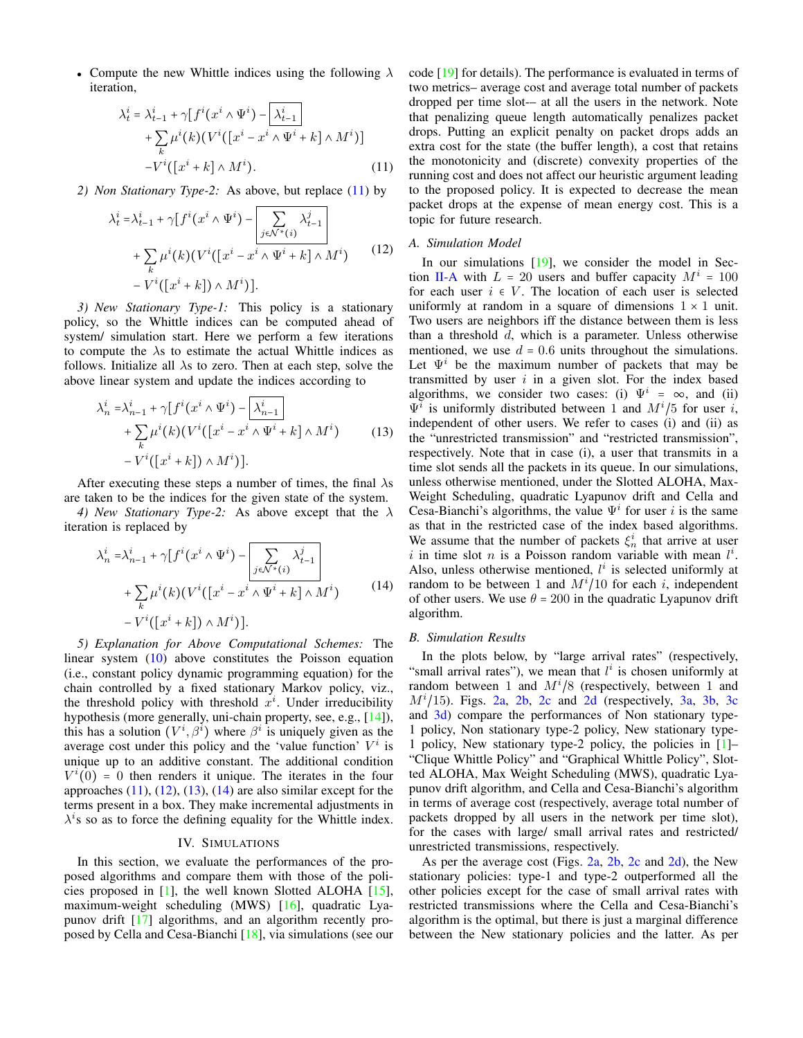• Compute the new Whittle indices using the following  $\lambda$ iteration,

<span id="page-3-1"></span>
$$
\lambda_t^i = \lambda_{t-1}^i + \gamma [f^i(x^i \wedge \Psi^i) - \lambda_{t-1}^i] + \sum_k \mu^i(k) (V^i([x^i - x^i \wedge \Psi^i + k] \wedge M^i)] - V^i([x^i + k] \wedge M^i).
$$
\n(11)

*2) Non Stationary Type-2:* As above, but replace [\(11\)](#page-3-1) by

$$
\lambda_t^i = \lambda_{t-1}^i + \gamma \left[ f^i(x^i \wedge \Psi^i) - \left| \sum_{j \in \mathcal{N}^*(i)} \lambda_{t-1}^j \right| + \sum_k \mu^i(k) \left( V^i(\left[ x^i - x^i \wedge \Psi^i + k \right] \wedge M^i) - V^i(\left[ x^i + k \right] \wedge M^i) \right].
$$
\n(12)

*3) New Stationary Type-1:* This policy is a stationary policy, so the Whittle indices can be computed ahead of system/ simulation start. Here we perform a few iterations to compute the  $\lambda$ s to estimate the actual Whittle indices as follows. Initialize all  $\lambda$ s to zero. Then at each step, solve the above linear system and update the indices according to

$$
\lambda_n^i = \lambda_{n-1}^i + \gamma [f^i(x^i \wedge \Psi^i) - \lambda_{n-1}^i] + \sum_k \mu^i(k) (V^i([x^i - x^i \wedge \Psi^i + k] \wedge M^i) - V^i([x^i + k]) \wedge M^i)].
$$
\n(13)

After executing these steps a number of times, the final  $\lambda$ s are taken to be the indices for the given state of the system.

*4) New Stationary Type-2:* As above except that the λ iteration is replaced by

$$
\lambda_n^i = \lambda_{n-1}^i + \gamma \left[ f^i(x^i \wedge \Psi^i) - \left[ \sum_{j \in \mathcal{N}^*(i)} \lambda_{t-1}^j \right] + \sum_k \mu^i(k) \left( V^i(\left[ x^i - x^i \wedge \Psi^i + k \right] \wedge M^i) - V^i(\left[ x^i + k \right] \wedge M^i) \right].
$$
\n(14)

*5) Explanation for Above Computational Schemes:* The linear system [\(10\)](#page-2-4) above constitutes the Poisson equation (i.e., constant policy dynamic programming equation) for the chain controlled by a fixed stationary Markov policy, viz., the threshold policy with threshold  $x<sup>i</sup>$ . Under irreducibility hypothesis (more generally, uni-chain property, see, e.g., [\[14\]](#page-4-14)), this has a solution  $(V^i, \beta^i)$  where  $\beta^i$  is uniquely given as the average cost under this policy and the 'value function'  $V^i$  is unique up to an additive constant. The additional condition  $V^{i}(\overline{0}) = 0$  then renders it unique. The iterates in the four approaches  $(11)$ ,  $(12)$ ,  $(13)$ ,  $(14)$  are also similar except for the terms present in a box. They make incremental adjustments in  $\lambda^{i}$ s so as to force the defining equality for the Whittle index.

#### IV. SIMULATIONS

<span id="page-3-0"></span>In this section, we evaluate the performances of the proposed algorithms and compare them with those of the policies proposed in  $[1]$ , the well known Slotted ALOHA  $[15]$ , maximum-weight scheduling (MWS) [\[16\]](#page-4-16), quadratic Lyapunov drift [\[17\]](#page-4-17) algorithms, and an algorithm recently proposed by Cella and Cesa-Bianchi [\[18\]](#page-4-18), via simulations (see our code [\[19\]](#page-4-19) for details). The performance is evaluated in terms of two metrics– average cost and average total number of packets dropped per time slot-– at all the users in the network. Note that penalizing queue length automatically penalizes packet drops. Putting an explicit penalty on packet drops adds an extra cost for the state (the buffer length), a cost that retains the monotonicity and (discrete) convexity properties of the running cost and does not affect our heuristic argument leading to the proposed policy. It is expected to decrease the mean packet drops at the expense of mean energy cost. This is a topic for future research.

# <span id="page-3-2"></span>*A. Simulation Model*

<span id="page-3-3"></span>In our simulations [\[19\]](#page-4-19), we consider the model in Sec-tion [II-A](#page-1-4) with  $L = 20$  users and buffer capacity  $M^{i} = 100$ for each user  $i \in V$ . The location of each user is selected uniformly at random in a square of dimensions  $1 \times 1$  unit. Two users are neighbors iff the distance between them is less than a threshold d, which is a parameter. Unless otherwise mentioned, we use  $d = 0.6$  units throughout the simulations. Let  $\Psi^i$  be the maximum number of packets that may be transmitted by user  $i$  in a given slot. For the index based algorithms, we consider two cases: (i)  $\Psi^i = \infty$ , and (ii)  $\Psi$ <sup>*i*</sup> is uniformly distributed between 1 and  $M^i/5$  for user *i*, independent of other users. We refer to cases (i) and (ii) as the "unrestricted transmission" and "restricted transmission", respectively. Note that in case (i), a user that transmits in a time slot sends all the packets in its queue. In our simulations, unless otherwise mentioned, under the Slotted ALOHA, Max-Weight Scheduling, quadratic Lyapunov drift and Cella and Cesa-Bianchi's algorithms, the value  $\Psi^i$  for user i is the same as that in the restricted case of the index based algorithms. We assume that the number of packets  $\xi_n^i$  that arrive at user i in time slot n is a Poisson random variable with mean  $l^i$ . Also, unless otherwise mentioned,  $l^i$  is selected uniformly at random to be between 1 and  $M^{i}/10$  for each i, independent of other users. We use  $\theta = 200$  in the quadratic Lyapunov drift algorithm.

#### <span id="page-3-4"></span>*B. Simulation Results*

In the plots below, by "large arrival rates" (respectively, "small arrival rates"), we mean that  $l^i$  is chosen uniformly at random between 1 and  $M^{i}/8$  (respectively, between 1 and  $M<sup>i</sup>/15$ ). Figs. [2a,](#page-5-0) [2b,](#page-5-0) [2c](#page-5-0) and [2d](#page-5-0) (respectively, [3a,](#page-5-1) [3b,](#page-5-1) [3c](#page-5-1) and [3d\)](#page-5-1) compare the performances of Non stationary type-1 policy, Non stationary type-2 policy, New stationary type-1 policy, New stationary type-2 policy, the policies in [\[1\]](#page-4-0)– "Clique Whittle Policy" and "Graphical Whittle Policy", Slotted ALOHA, Max Weight Scheduling (MWS), quadratic Lyapunov drift algorithm, and Cella and Cesa-Bianchi's algorithm in terms of average cost (respectively, average total number of packets dropped by all users in the network per time slot), for the cases with large/ small arrival rates and restricted/ unrestricted transmissions, respectively.

As per the average cost (Figs. [2a,](#page-5-0) [2b,](#page-5-0) [2c](#page-5-0) and [2d\)](#page-5-0), the New stationary policies: type-1 and type-2 outperformed all the other policies except for the case of small arrival rates with restricted transmissions where the Cella and Cesa-Bianchi's algorithm is the optimal, but there is just a marginal difference between the New stationary policies and the latter. As per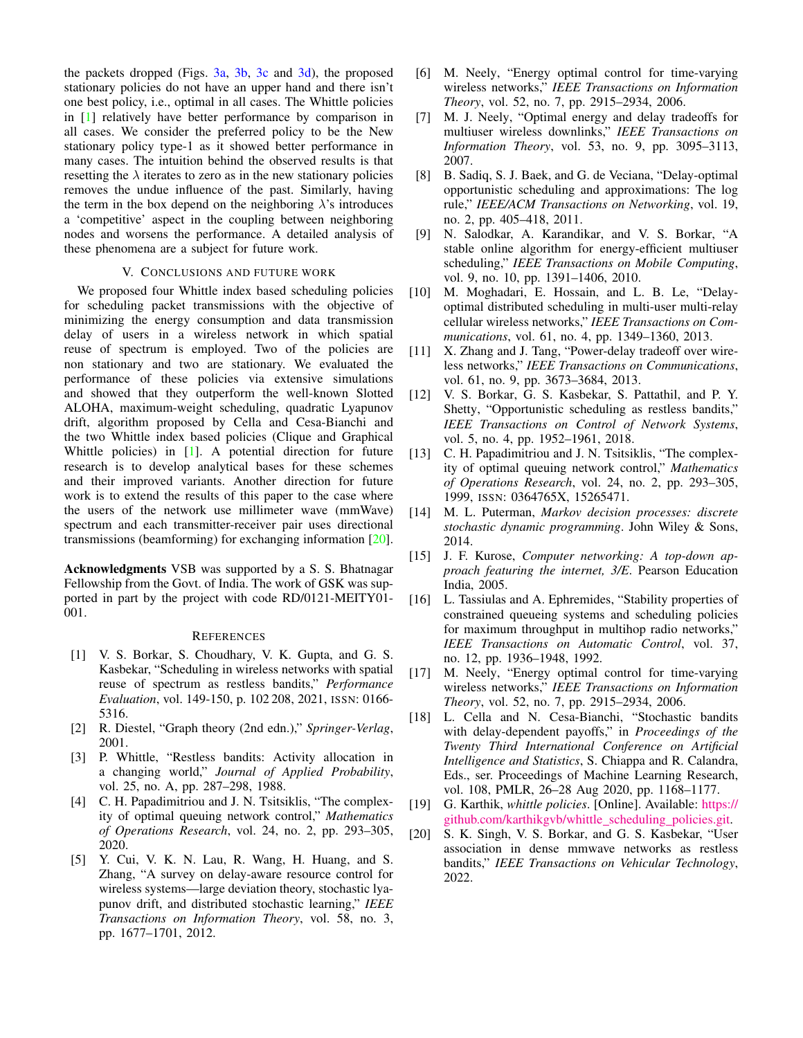the packets dropped (Figs.  $3a$ ,  $3b$ ,  $3c$  and  $3d$ ), the proposed stationary policies do not have an upper hand and there isn't one best policy, i.e., optimal in all cases. The Whittle policies in [\[1\]](#page-4-0) relatively have better performance by comparison in all cases. We consider the preferred policy to be the New stationary policy type-1 as it showed better performance in many cases. The intuition behind the observed results is that resetting the  $\lambda$  iterates to zero as in the new stationary policies removes the undue influence of the past. Similarly, having the term in the box depend on the neighboring  $\lambda$ 's introduces a 'competitive' aspect in the coupling between neighboring nodes and worsens the performance. A detailed analysis of these phenomena are a subject for future work.

# V. CONCLUSIONS AND FUTURE WORK

<span id="page-4-12"></span>We proposed four Whittle index based scheduling policies for scheduling packet transmissions with the objective of minimizing the energy consumption and data transmission delay of users in a wireless network in which spatial reuse of spectrum is employed. Two of the policies are non stationary and two are stationary. We evaluated the performance of these policies via extensive simulations and showed that they outperform the well-known Slotted ALOHA, maximum-weight scheduling, quadratic Lyapunov drift, algorithm proposed by Cella and Cesa-Bianchi and the two Whittle index based policies (Clique and Graphical Whittle policies) in [\[1\]](#page-4-0). A potential direction for future research is to develop analytical bases for these schemes and their improved variants. Another direction for future work is to extend the results of this paper to the case where the users of the network use millimeter wave (mmWave) spectrum and each transmitter-receiver pair uses directional transmissions (beamforming) for exchanging information [\[20\]](#page-4-20).

Acknowledgments VSB was supported by a S. S. Bhatnagar Fellowship from the Govt. of India. The work of GSK was supported in part by the project with code RD/0121-MEITY01- 001.

#### **REFERENCES**

- <span id="page-4-0"></span>[1] V. S. Borkar, S. Choudhary, V. K. Gupta, and G. S. Kasbekar, "Scheduling in wireless networks with spatial reuse of spectrum as restless bandits," *Performance Evaluation*, vol. 149-150, p. 102 208, 2021, ISSN: 0166- 5316.
- <span id="page-4-1"></span>[2] R. Diestel, "Graph theory (2nd edn.)," *Springer-Verlag*, 2001.
- <span id="page-4-2"></span>[3] P. Whittle, "Restless bandits: Activity allocation in a changing world," *Journal of Applied Probability*, vol. 25, no. A, pp. 287–298, 1988.
- <span id="page-4-3"></span>[4] C. H. Papadimitriou and J. N. Tsitsiklis, "The complexity of optimal queuing network control," *Mathematics of Operations Research*, vol. 24, no. 2, pp. 293–305, 2020.
- <span id="page-4-4"></span>[5] Y. Cui, V. K. N. Lau, R. Wang, H. Huang, and S. Zhang, "A survey on delay-aware resource control for wireless systems—large deviation theory, stochastic lyapunov drift, and distributed stochastic learning," *IEEE Transactions on Information Theory*, vol. 58, no. 3, pp. 1677–1701, 2012.
- <span id="page-4-5"></span>[6] M. Neely, "Energy optimal control for time-varying wireless networks," *IEEE Transactions on Information Theory*, vol. 52, no. 7, pp. 2915–2934, 2006.
- <span id="page-4-6"></span>[7] M. J. Neely, "Optimal energy and delay tradeoffs for multiuser wireless downlinks," *IEEE Transactions on Information Theory*, vol. 53, no. 9, pp. 3095–3113, 2007.
- <span id="page-4-7"></span>[8] B. Sadiq, S. J. Baek, and G. de Veciana, "Delay-optimal opportunistic scheduling and approximations: The log rule," *IEEE/ACM Transactions on Networking*, vol. 19, no. 2, pp. 405–418, 2011.
- <span id="page-4-8"></span>[9] N. Salodkar, A. Karandikar, and V. S. Borkar, "A stable online algorithm for energy-efficient multiuser scheduling," *IEEE Transactions on Mobile Computing*, vol. 9, no. 10, pp. 1391–1406, 2010.
- <span id="page-4-9"></span>[10] M. Moghadari, E. Hossain, and L. B. Le, "Delayoptimal distributed scheduling in multi-user multi-relay cellular wireless networks," *IEEE Transactions on Communications*, vol. 61, no. 4, pp. 1349–1360, 2013.
- <span id="page-4-10"></span>[11] X. Zhang and J. Tang, "Power-delay tradeoff over wireless networks," *IEEE Transactions on Communications*, vol. 61, no. 9, pp. 3673–3684, 2013.
- <span id="page-4-11"></span>[12] V. S. Borkar, G. S. Kasbekar, S. Pattathil, and P. Y. Shetty, "Opportunistic scheduling as restless bandits," *IEEE Transactions on Control of Network Systems*, vol. 5, no. 4, pp. 1952–1961, 2018.
- <span id="page-4-13"></span>[13] C. H. Papadimitriou and J. N. Tsitsiklis, "The complexity of optimal queuing network control," *Mathematics of Operations Research*, vol. 24, no. 2, pp. 293–305, 1999, ISSN: 0364765X, 15265471.
- <span id="page-4-14"></span>[14] M. L. Puterman, *Markov decision processes: discrete stochastic dynamic programming*. John Wiley & Sons, 2014.
- <span id="page-4-15"></span>[15] J. F. Kurose, *Computer networking: A top-down approach featuring the internet, 3/E*. Pearson Education India, 2005.
- <span id="page-4-16"></span>[16] L. Tassiulas and A. Ephremides, "Stability properties of constrained queueing systems and scheduling policies for maximum throughput in multihop radio networks," *IEEE Transactions on Automatic Control*, vol. 37, no. 12, pp. 1936–1948, 1992.
- <span id="page-4-17"></span>[17] M. Neely, "Energy optimal control for time-varying wireless networks," *IEEE Transactions on Information Theory*, vol. 52, no. 7, pp. 2915–2934, 2006.
- <span id="page-4-18"></span>[18] L. Cella and N. Cesa-Bianchi, "Stochastic bandits" with delay-dependent payoffs," in *Proceedings of the Twenty Third International Conference on Artificial Intelligence and Statistics*, S. Chiappa and R. Calandra, Eds., ser. Proceedings of Machine Learning Research, vol. 108, PMLR, 26–28 Aug 2020, pp. 1168–1177.
- <span id="page-4-19"></span>[19] G. Karthik, *whittle policies*. [Online]. Available: [https://](https://github.com/karthikgvb/whittle_scheduling_policies.git) [github.com/karthikgvb/whittle](https://github.com/karthikgvb/whittle_scheduling_policies.git) scheduling policies.git.
- <span id="page-4-20"></span>[20] S. K. Singh, V. S. Borkar, and G. S. Kasbekar, "User association in dense mmwave networks as restless bandits," *IEEE Transactions on Vehicular Technology*, 2022.